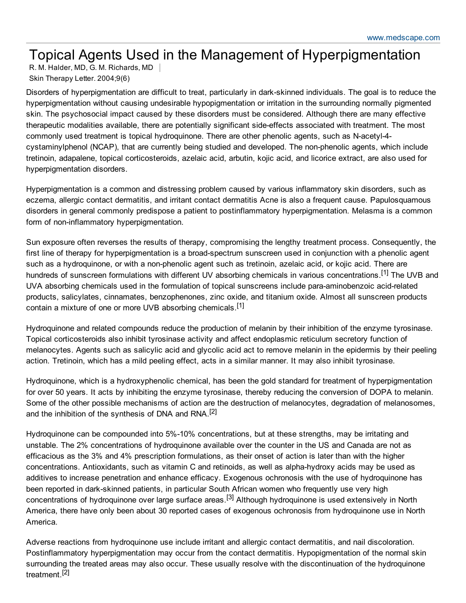## Topical Agents Used in the Management of Hyperpigmentation

R. M. Halder, MD, G. M. Richards, MD Skin Therapy Letter. 2004;9(6)

Disorders of hyperpigmentation are difficult to treat, particularly in dark-skinned individuals. The goal is to reduce the hyperpigmentation without causing undesirable hypopigmentation or irritation in the surrounding normally pigmented skin. The psychosocial impact caused by these disorders must be considered. Although there are many effective therapeutic modalities available, there are potentially significant side-effects associated with treatment. The most commonly used treatment is topical hydroquinone. There are other phenolic agents, such as N-acetyl-4cystaminylphenol (NCAP), that are currently being studied and developed. The non-phenolic agents, which include tretinoin, adapalene, topical corticosteroids, azelaic acid, arbutin, kojic acid, and licorice extract, are also used for hyperpigmentation disorders.

Hyperpigmentation is a common and distressing problem caused by various inflammatory skin disorders, such as eczema, allergic contact dermatitis, and irritant contact dermatitis Acne is also a frequent cause. Papulosquamous disorders in general commonly predispose a patient to postinflammatory hyperpigmentation. Melasma is a common form of non-inflammatory hyperpigmentation.

Sun exposure often reverses the results of therapy, compromising the lengthy treatment process. Consequently, the first line of therapy for hyperpigmentation is a broad-spectrum sunscreen used in conjunction with a phenolic agent such as a hydroquinone, or with a non-phenolic agent such as tretinoin, azelaic acid, or kojic acid. There are hundreds of sunscreen formulations with different UV absorbing chemicals in various concentrations.<sup>[1]</sup> The UVB and UVA absorbing chemicals used in the formulation of topical sunscreens include para-aminobenzoic acid-related products, salicylates, cinnamates, benzophenones, zinc oxide, and titanium oxide. Almost all sunscreen products contain a mixture of one or more UVB absorbing chemicals.<sup>[1]</sup>

Hydroquinone and related compounds reduce the production of melanin by their inhibition of the enzyme tyrosinase. Topical corticosteroids also inhibit tyrosinase activity and affect endoplasmic reticulum secretory function of melanocytes. Agents such as salicylic acid and glycolic acid act to remove melanin in the epidermis by their peeling action. Tretinoin, which has a mild peeling effect, acts in a similar manner. It may also inhibit tyrosinase.

Hydroquinone, which is a hydroxyphenolic chemical, has been the gold standard for treatment of hyperpigmentation for over 50 years. It acts by inhibiting the enzyme tyrosinase, thereby reducing the conversion of DOPA to melanin. Some of the other possible mechanisms of action are the destruction of melanocytes, degradation of melanosomes, and the inhibition of the synthesis of DNA and RNA.<sup>[2]</sup>

Hydroquinone can be compounded into 5%-10% concentrations, but at these strengths, may be irritating and unstable. The 2% concentrations of hydroquinone available over the counter in the US and Canada are not as efficacious as the 3% and 4% prescription formulations, as their onset of action is later than with the higher concentrations. Antioxidants, such as vitamin C and retinoids, as well as alpha-hydroxy acids may be used as additives to increase penetration and enhance efficacy. Exogenous ochronosis with the use of hydroquinone has been reported in dark-skinned patients, in particular South African women who frequently use very high concentrations of hydroquinone over large surface areas.<sup>[3]</sup> Although hydroquinone is used extensively in North America, there have only been about 30 reported cases of exogenous ochronosis from hydroquinone use in North America.

Adverse reactions from hydroquinone use include irritant and allergic contact dermatitis, and nail discoloration. Postinflammatory hyperpigmentation may occur from the contact dermatitis. Hypopigmentation of the normal skin surrounding the treated areas may also occur. These usually resolve with the discontinuation of the hydroquinone treatment.<sup>[2]</sup>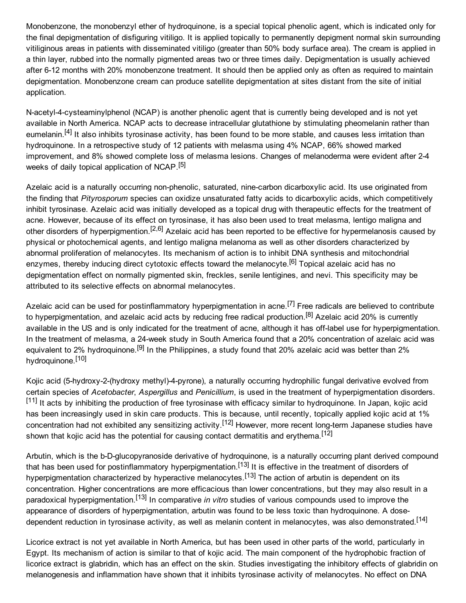Monobenzone, the monobenzyl ether of hydroquinone, is a special topical phenolic agent, which is indicated only for the final depigmentation of disfiguring vitiligo. It is applied topically to permanently depigment normal skin surrounding vitiliginous areas in patients with disseminated vitiligo (greater than 50% body surface area). The cream is applied in a thin layer, rubbed into the normally pigmented areas two or three times daily. Depigmentation is usually achieved after 6-12 months with 20% monobenzone treatment. It should then be applied only as often as required to maintain depigmentation. Monobenzone cream can produce satellite depigmentation at sites distant from the site of initial application.

N-acetyl-4-cysteaminylphenol (NCAP) is another phenolic agent that is currently being developed and is not yet available in North America. NCAP acts to decrease intracellular glutathione by stimulating pheomelanin rather than eumelanin.<sup>[4]</sup> It also inhibits tyrosinase activity, has been found to be more stable, and causes less irritation than hydroquinone. In a retrospective study of 12 patients with melasma using 4% NCAP, 66% showed marked improvement, and 8% showed complete loss of melasma lesions. Changes of melanoderma were evident after 24 weeks of daily topical application of NCAP.<sup>[5]</sup>

Azelaic acid is a naturally occurring non-phenolic, saturated, nine-carbon dicarboxylic acid. Its use originated from the finding that *Pityrosporum* species can oxidize unsaturated fatty acids to dicarboxylic acids, which competitively inhibit tyrosinase. Azelaic acid was initially developed as a topical drug with therapeutic effects for the treatment of acne. However, because of its effect on tyrosinase, it has also been used to treat melasma, lentigo maligna and other disorders of hyperpigmention.<sup>[2,6]</sup> Azelaic acid has been reported to be effective for hypermelanosis caused by physical or photochemical agents, and lentigo maligna melanoma as well as other disorders characterized by abnormal proliferation of melanocytes. Its mechanism of action is to inhibit DNA synthesis and mitochondrial enzymes, thereby inducing direct cytotoxic effects toward the melanocyte.<sup>[6]</sup> Topical azelaic acid has no depigmentation effect on normally pigmented skin, freckles, senile lentigines, and nevi. This specificity may be attributed to its selective effects on abnormal melanocytes.

Azelaic acid can be used for postinflammatory hyperpigmentation in acne.<sup>[7]</sup> Free radicals are believed to contribute to hyperpigmentation, and azelaic acid acts by reducing free radical production.<sup>[8]</sup> Azelaic acid 20% is currently available in the US and is only indicated for the treatment of acne, although it has off-label use for hyperpigmentation. In the treatment of melasma, a 24week study in South America found that a 20% concentration of azelaic acid was equivalent to 2% hydroquinone.<sup>[9]</sup> In the Philippines, a study found that 20% azelaic acid was better than 2% hydroquinone.<sup>[10]</sup>

Kojic acid (5-hydroxy-2-(hydroxy methyl)-4-pyrone), a naturally occurring hydrophilic fungal derivative evolved from certain species of *Acetobacter*, *Aspergillus* and *Penicillium*, is used in the treatment of hyperpigmentation disorders. [11] It acts by inhibiting the production of free tyrosinase with efficacy similar to hydroquinone. In Japan, kojic acid has been increasingly used in skin care products. This is because, until recently, topically applied kojic acid at 1% concentration had not exhibited any sensitizing activity.<sup>[12]</sup> However, more recent long-term Japanese studies have shown that kojic acid has the potential for causing contact dermatitis and erythema.<sup>[12]</sup>

Arbutin, which is the b-D-glucopyranoside derivative of hydroquinone, is a naturally occurring plant derived compound that has been used for postinflammatory hyperpigmentation.<sup>[13]</sup> It is effective in the treatment of disorders of hyperpigmentation characterized by hyperactive melanocytes.<sup>[13]</sup> The action of arbutin is dependent on its concentration. Higher concentrations are more efficacious than lower concentrations, but they may also result in a paradoxical hyperpigmentation.<sup>[13]</sup> In comparative *in vitro* studies of various compounds used to improve the appearance of disorders of hyperpigmentation, arbutin was found to be less toxic than hydroquinone. A dosedependent reduction in tyrosinase activity, as well as melanin content in melanocytes, was also demonstrated.<sup>[14]</sup>

Licorice extract is not yet available in North America, but has been used in other parts of the world, particularly in Egypt. Its mechanism of action is similar to that of kojic acid. The main component of the hydrophobic fraction of licorice extract is glabridin, which has an effect on the skin. Studies investigating the inhibitory effects of glabridin on melanogenesis and inflammation have shown that it inhibits tyrosinase activity of melanocytes. No effect on DNA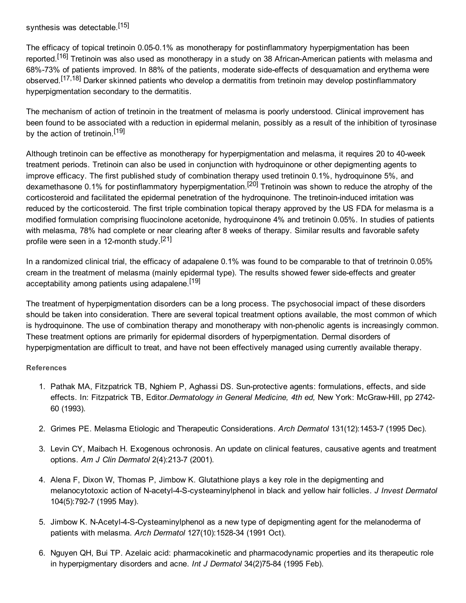synthesis was detectable.<sup>[15]</sup>

The efficacy of topical tretinoin 0.05-0.1% as monotherapy for postinflammatory hyperpigmentation has been reported.<sup>[16]</sup> Tretinoin was also used as monotherapy in a study on 38 African-American patients with melasma and 68%-73% of patients improved. In 88% of the patients, moderate side-effects of desquamation and erythema were observed.<sup>[17,18]</sup> Darker skinned patients who develop a dermatitis from tretinoin may develop postinflammatory hyperpigmentation secondary to the dermatitis.

The mechanism of action of tretinoin in the treatment of melasma is poorly understood. Clinical improvement has been found to be associated with a reduction in epidermal melanin, possibly as a result of the inhibition of tyrosinase by the action of tretinoin.<sup>[19]</sup>

Although tretinoin can be effective as monotherapy for hyperpigmentation and melasma, it requires 20 to 40week treatment periods. Tretinoin can also be used in conjunction with hydroquinone or other depigmenting agents to improve efficacy. The first published study of combination therapy used tretinoin 0.1%, hydroquinone 5%, and dexamethasone 0.1% for postinflammatory hyperpigmentation.<sup>[20]</sup> Tretinoin was shown to reduce the atrophy of the corticosteroid and facilitated the epidermal penetration of the hydroquinone. The tretinoin-induced irritation was reduced by the corticosteroid. The first triple combination topical therapy approved by the US FDA for melasma is a modified formulation comprising fluocinolone acetonide, hydroquinone 4% and tretinoin 0.05%. In studies of patients with melasma, 78% had complete or near clearing after 8 weeks of therapy. Similar results and favorable safety profile were seen in a 12-month study.<sup>[21]</sup>

In a randomized clinical trial, the efficacy of adapalene 0.1% was found to be comparable to that of tretrinoin 0.05% cream in the treatment of melasma (mainly epidermal type). The results showed fewer side-effects and greater acceptability among patients using adapalene.<sup>[19]</sup>

The treatment of hyperpigmentation disorders can be a long process. The psychosocial impact of these disorders should be taken into consideration. There are several topical treatment options available, the most common of which is hydroquinone. The use of combination therapy and monotherapy with non-phenolic agents is increasingly common. These treatment options are primarily for epidermal disorders of hyperpigmentation. Dermal disorders of hyperpigmentation are difficult to treat, and have not been effectively managed using currently available therapy.

## **References**

- 1. Pathak MA, Fitzpatrick TB, Nghiem P, Aghassi DS. Sun-protective agents: formulations, effects, and side effects. In: Fitzpatrick TB, Editor.*Dermatology in General Medicine, 4th ed,* New York: McGrawHill, pp 2742 60 (1993).
- 2. Grimes PE. Melasma Etiologic and Therapeutic Considerations. *Arch Dermatol* 131(12):14537 (1995 Dec).
- 3. Levin CY, Maibach H. Exogenous ochronosis. An update on clinical features, causative agents and treatment options. *Am J Clin Dermatol* 2(4):2137 (2001).
- 4. Alena F, Dixon W, Thomas P, Jimbow K. Glutathione plays a key role in the depigmenting and melanocytotoxic action of N-acetyl-4-S-cysteaminylphenol in black and yellow hair follicles. *J Invest Dermatol* 104(5):7927 (1995 May).
- 5. Jimbow K. N-Acetyl-4-S-Cysteaminylphenol as a new type of depigmenting agent for the melanoderma of patients with melasma. Arch Dermatol 127(10):1528-34 (1991 Oct).
- 6. Nguyen QH, Bui TP. Azelaic acid: pharmacokinetic and pharmacodynamic properties and its therapeutic role in hyperpigmentary disorders and acne. *Int J Dermatol* 34(2)75-84 (1995 Feb).